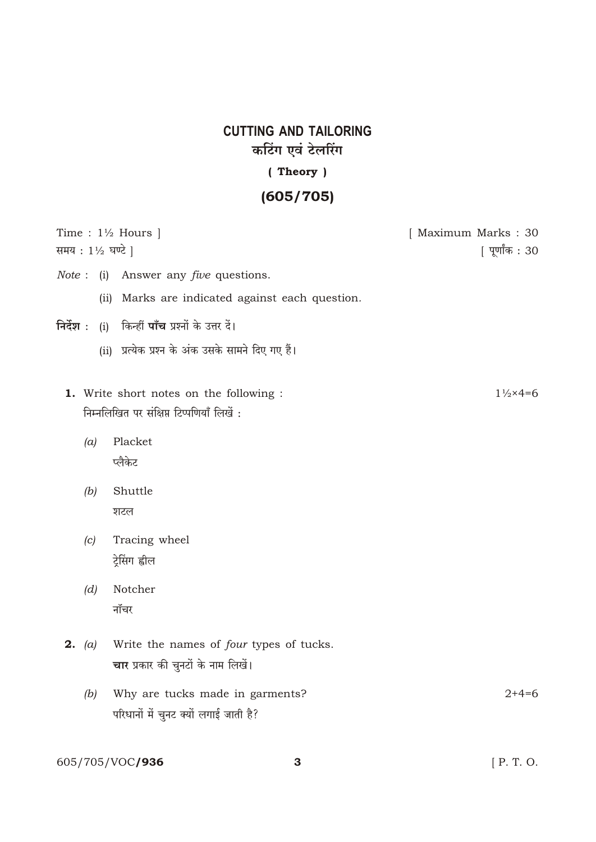## **CUTTING AND TAILORING** कटिंग एवं टेलरिंग (Theory)

## $(605/705)$

| समय : 1½ घण्टे ] | Time : $1\frac{1}{2}$ Hours                                                          | [ Maximum Marks: 30<br>[ पूर्णांक : 30 |
|------------------|--------------------------------------------------------------------------------------|----------------------------------------|
| Note:            | Answer any <i>five</i> questions.<br>(i)                                             |                                        |
|                  | Marks are indicated against each question.<br>(ii)                                   |                                        |
| निर्देश :        | (i) किन्हीं <b>पाँच</b> प्रश्नों के उत्तर दें।                                       |                                        |
|                  | (ii) प्रत्येक प्रश्न के अंक उसके सामने दिए गए हैं।                                   |                                        |
|                  | 1. Write short notes on the following :<br>निम्नलिखित पर संक्षिप्त टिप्पणियाँ लिखें: | $1\frac{1}{2} \times 4 = 6$            |
| (a)              | Placket<br>प्लैकेट                                                                   |                                        |
| (b)              | Shuttle<br>शटल                                                                       |                                        |
| (c)              | Tracing wheel<br>ट्रेसिंग ह्वील                                                      |                                        |
| (d)              | Notcher<br>नॉचर                                                                      |                                        |
| <b>2.</b> (a)    | Write the names of four types of tucks.<br>चार प्रकार की चुनटों के नाम लिखें।        |                                        |
| (b)              | Why are tucks made in garments?<br>परिधानों में चुनट क्यों लगाई जाती है?             | $2+4=6$                                |
|                  |                                                                                      |                                        |

605/705/VOC**/936** 

 $[$  P. T. O.